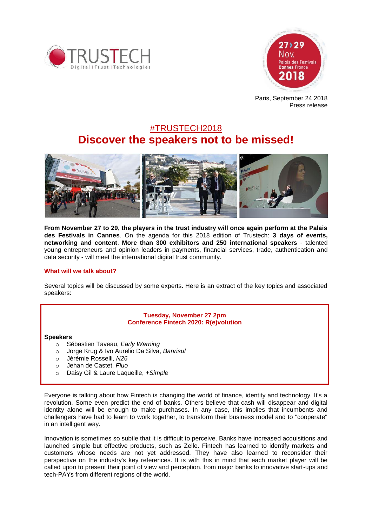



Paris, September 24 2018 Press release

# #TRUSTECH2018 **Discover the speakers not to be missed!**



**From November 27 to 29, the players in the trust industry will once again perform at the Palais des Festivals in Cannes**. On the agenda for this 2018 edition of Trustech: **3 days of events, networking and content**. **More than 300 exhibitors and 250 international speakers** - talented young entrepreneurs and opinion leaders in payments, financial services, trade, authentication and data security - will meet the international digital trust community.

## **What will we talk about?**

Several topics will be discussed by some experts. Here is an extract of the key topics and associated speakers:

## **Tuesday, November 27 2pm Conference Fintech 2020: R(e)volution**

### **Speakers**

- o Sébastien Taveau, *Early Warning*
- o Jorge Krug & Ivo Aurelio Da Silva, *Banrisul*
- o Jérémie Rosselli, *N26*
- o Jehan de Castet, *Fluo*
- o Daisy Gil & Laure Laqueille, *+Simple*

Everyone is talking about how Fintech is changing the world of finance, identity and technology. It's a revolution. Some even predict the end of banks. Others believe that cash will disappear and digital identity alone will be enough to make purchases. In any case, this implies that incumbents and challengers have had to learn to work together, to transform their business model and to "cooperate" in an intelligent way.

Innovation is sometimes so subtle that it is difficult to perceive. Banks have increased acquisitions and launched simple but effective products, such as Zelle. Fintech has learned to identify markets and customers whose needs are not yet addressed. They have also learned to reconsider their perspective on the industry's key references. It is with this in mind that each market player will be called upon to present their point of view and perception, from major banks to innovative start-ups and tech-PAYs from different regions of the world.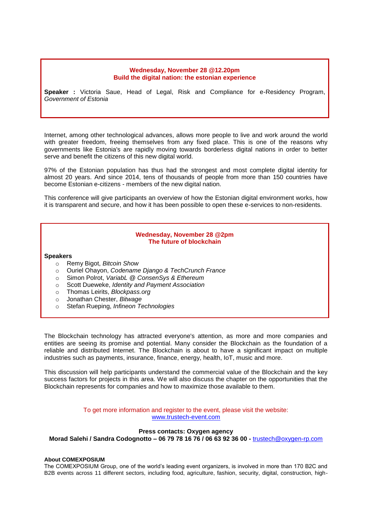#### **Wednesday, November 28 @12.20pm Build the digital nation: the estonian experience**

**Speaker :** Victoria Saue, Head of Legal, Risk and Compliance for e-Residency Program, *Government of Estonia*

Internet, among other technological advances, allows more people to live and work around the world with greater freedom, freeing themselves from any fixed place. This is one of the reasons why governments like Estonia's are rapidly moving towards borderless digital nations in order to better serve and benefit the citizens of this new digital world.

97% of the Estonian population has thus had the strongest and most complete digital identity for almost 20 years. And since 2014, tens of thousands of people from more than 150 countries have become Estonian e-citizens - members of the new digital nation.

This conference will give participants an overview of how the Estonian digital environment works, how it is transparent and secure, and how it has been possible to open these e-services to non-residents.

## **Wednesday, November 28 @2pm The future of blockchain**

#### **Speakers**

- o Remy Bigot, *Bitcoin Show*
- o Ouriel Ohayon, *Codename Django & TechCrunch France*
- o Simon Polrot, *VariabL @ ConsenSys & Ethereum*
- o Scott Dueweke, *Identity and Payment Association*
- o Thomas Leirits, *Blockpass.org*
- o Jonathan Chester, *Bitwage*
- o Stefan Rueping, *Infineon Technologies*

The Blockchain technology has attracted everyone's attention, as more and more companies and entities are seeing its promise and potential. Many consider the Blockchain as the foundation of a reliable and distributed Internet. The Blockchain is about to have a significant impact on multiple industries such as payments, insurance, finance, energy, health, IoT, music and more.

This discussion will help participants understand the commercial value of the Blockchain and the key success factors for projects in this area. We will also discuss the chapter on the opportunities that the Blockchain represents for companies and how to maximize those available to them.

> To get more information and register to the event, please visit the website: [www.trustech-event.com](http://www.trustech-event.com/)

### **Press contacts: Oxygen agency Morad Salehi / Sandra Codognotto – 06 79 78 16 76 / 06 63 92 36 00 -** [trustech@oxygen-rp.com](mailto:trustech@oxygen-rp.com)

#### **About COMEXPOSIUM**

The COMEXPOSIUM Group, one of the world's leading event organizers, is involved in more than 170 B2C and B2B events across 11 different sectors, including food, agriculture, fashion, security, digital, construction, high